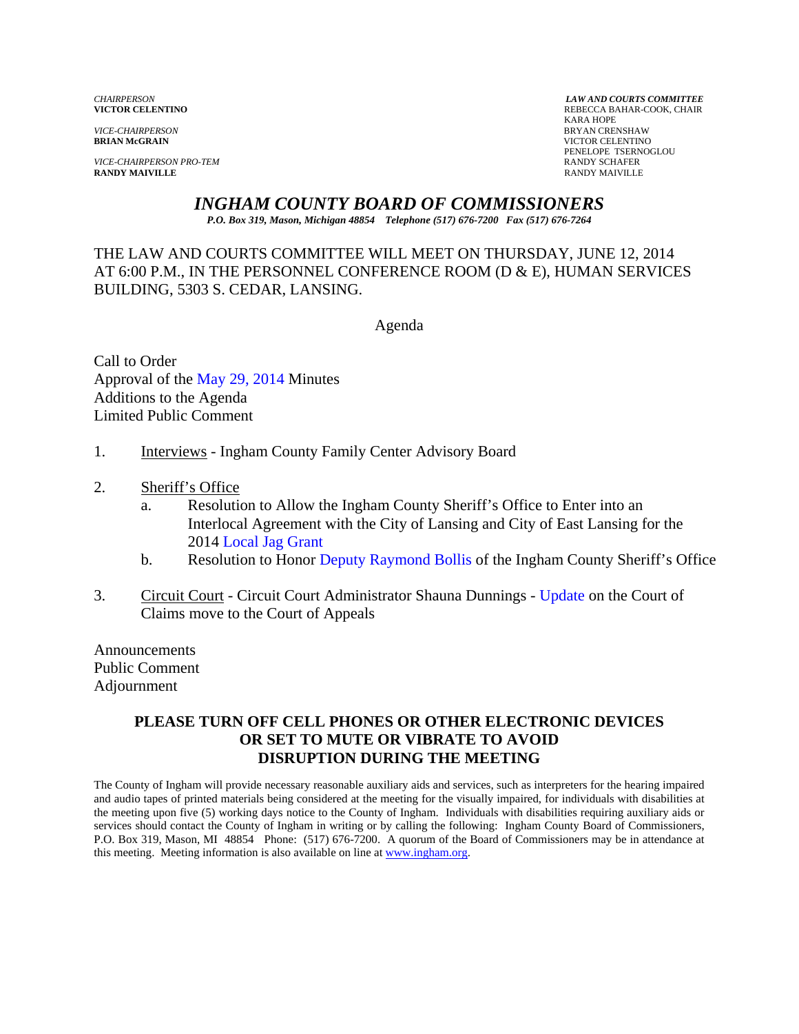*VICE-CHAIRPERSON* BRYAN CRENSHAW

*VICE-CHAIRPERSON PRO-TEM* **RANDY SCHAFER RANDY SCHAFER RANDY SCHAFER RANDY SCHAFER RANDY MAIVILLE RANDY MAIVILLE** RANDY MAIVILLE

*CHAIRPERSON LAW AND COURTS COMMITTEE* REBECCA BAHAR-COOK, CHAIR<br>KARA HOPE KARA HOPE **VICTOR CELENTINO** PENELOPE TSERNOGLOU

## *INGHAM COUNTY BOARD OF COMMISSIONERS*

*P.O. Box 319, Mason, Michigan 48854 Telephone (517) 676-7200 Fax (517) 676-7264*

THE LAW AND COURTS COMMITTEE WILL MEET ON THURSDAY, JUNE 12, 2014 AT 6:00 P.M., IN THE PERSONNEL CONFERENCE ROOM (D & E), HUMAN SERVICES BUILDING, 5303 S. CEDAR, LANSING.

Agenda

Call to Order Approval o[f the May 29, 2014 Minutes](#page-1-0)  Additions to the Agenda Limited Public Comment

- 1. Interviews Ingham County Family Center Advisory Board
- 2. Sheriff's Office
	- a. Resolution to Allow the Ingham County Sheriff's Office to Enter into an [Interlocal Agreement w](#page-8-0)ith the City of Lansing and City of East Lansing for the 2014 Local Jag Grant
	- b. Resolution to Honor Dep[uty Raymond Bollis of the Ingh](#page-10-0)am County Sheriff's Office
- 3. Circuit Court Circuit Court Administrator Shauna Dunnings [Update on the Cour](#page-12-0)t of Claims move to the Court of Appeals

Announcements Public Comment Adjournment

#### **PLEASE TURN OFF CELL PHONES OR OTHER ELECTRONIC DEVICES OR SET TO MUTE OR VIBRATE TO AVOID DISRUPTION DURING THE MEETING**

The County of Ingham will provide necessary reasonable auxiliary aids and services, such as interpreters for the hearing impaired and audio tapes of printed materials being considered at the meeting for the visually impaired, for individuals with disabilities at the meeting upon five (5) working days notice to the County of Ingham. Individuals with disabilities requiring auxiliary aids or services should contact the County of Ingham in writing or by calling the following: Ingham County Board of Commissioners, P.O. Box 319, Mason, MI 48854 Phone: (517) 676-7200. A quorum of the Board of Commissioners may be in attendance at this meeting. Meeting information is also available on line at www.ingham.org.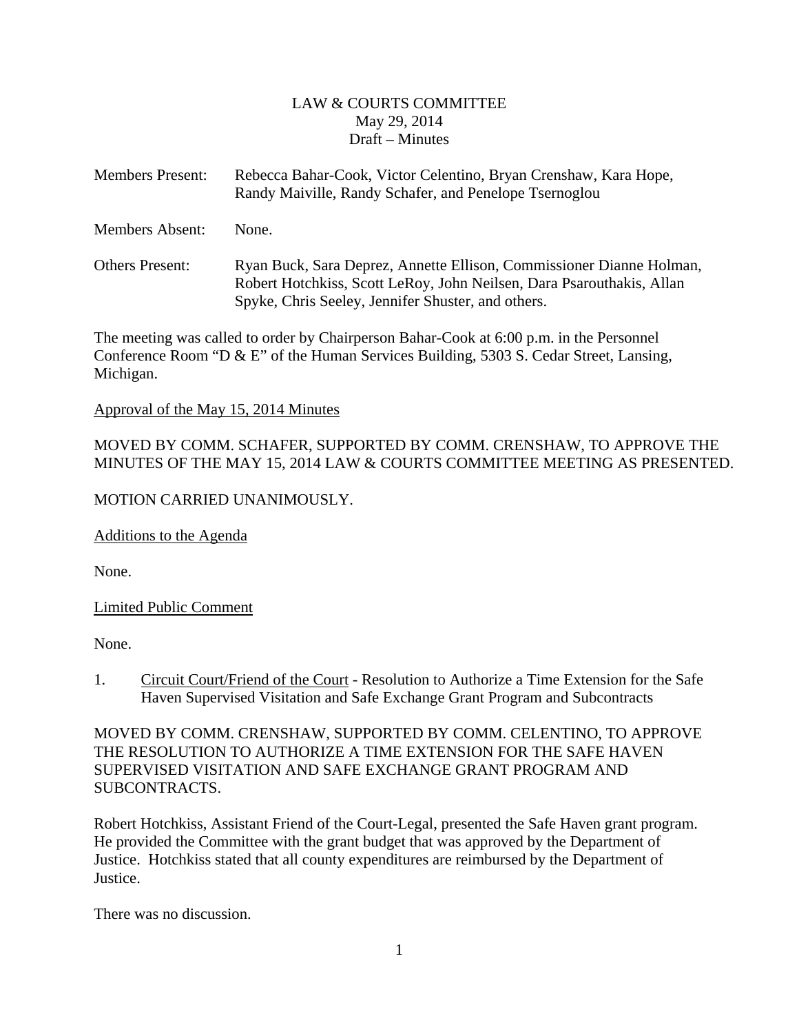#### LAW & COURTS COMMITTEE May 29, 2014 Draft – Minutes

<span id="page-1-0"></span>

| <b>Members Present:</b> | Rebecca Bahar-Cook, Victor Celentino, Bryan Crenshaw, Kara Hope,<br>Randy Maiville, Randy Schafer, and Penelope Tsernoglou                                                                          |
|-------------------------|-----------------------------------------------------------------------------------------------------------------------------------------------------------------------------------------------------|
| <b>Members Absent:</b>  | None.                                                                                                                                                                                               |
| <b>Others Present:</b>  | Ryan Buck, Sara Deprez, Annette Ellison, Commissioner Dianne Holman,<br>Robert Hotchkiss, Scott LeRoy, John Neilsen, Dara Psarouthakis, Allan<br>Spyke, Chris Seeley, Jennifer Shuster, and others. |

The meeting was called to order by Chairperson Bahar-Cook at 6:00 p.m. in the Personnel Conference Room "D & E" of the Human Services Building, 5303 S. Cedar Street, Lansing, Michigan.

#### Approval of the May 15, 2014 Minutes

MOVED BY COMM. SCHAFER, SUPPORTED BY COMM. CRENSHAW, TO APPROVE THE MINUTES OF THE MAY 15, 2014 LAW & COURTS COMMITTEE MEETING AS PRESENTED.

#### MOTION CARRIED UNANIMOUSLY.

Additions to the Agenda

None.

Limited Public Comment

None.

1. Circuit Court/Friend of the Court - Resolution to Authorize a Time Extension for the Safe Haven Supervised Visitation and Safe Exchange Grant Program and Subcontracts

MOVED BY COMM. CRENSHAW, SUPPORTED BY COMM. CELENTINO, TO APPROVE THE RESOLUTION TO AUTHORIZE A TIME EXTENSION FOR THE SAFE HAVEN SUPERVISED VISITATION AND SAFE EXCHANGE GRANT PROGRAM AND SUBCONTRACTS.

Robert Hotchkiss, Assistant Friend of the Court-Legal, presented the Safe Haven grant program. He provided the Committee with the grant budget that was approved by the Department of Justice. Hotchkiss stated that all county expenditures are reimbursed by the Department of Justice.

There was no discussion.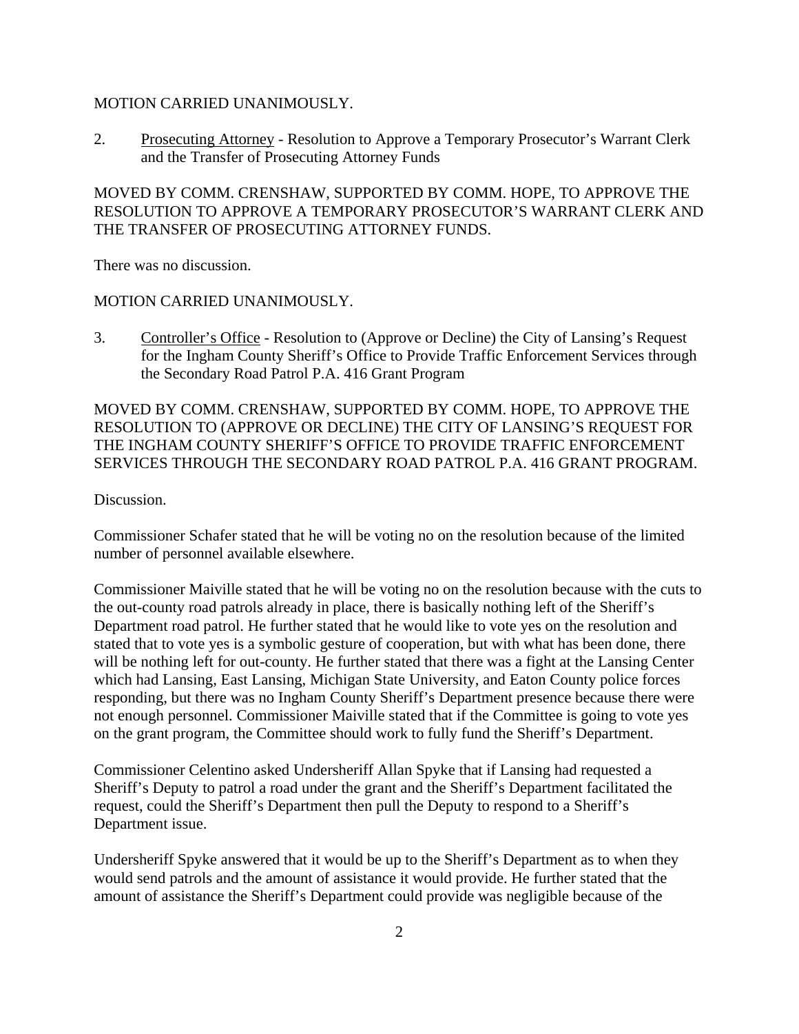#### MOTION CARRIED UNANIMOUSLY.

2. Prosecuting Attorney - Resolution to Approve a Temporary Prosecutor's Warrant Clerk and the Transfer of Prosecuting Attorney Funds

MOVED BY COMM. CRENSHAW, SUPPORTED BY COMM. HOPE, TO APPROVE THE RESOLUTION TO APPROVE A TEMPORARY PROSECUTOR'S WARRANT CLERK AND THE TRANSFER OF PROSECUTING ATTORNEY FUNDS.

There was no discussion.

#### MOTION CARRIED UNANIMOUSLY.

3. Controller's Office - Resolution to (Approve or Decline) the City of Lansing's Request for the Ingham County Sheriff's Office to Provide Traffic Enforcement Services through the Secondary Road Patrol P.A. 416 Grant Program

MOVED BY COMM. CRENSHAW, SUPPORTED BY COMM. HOPE, TO APPROVE THE RESOLUTION TO (APPROVE OR DECLINE) THE CITY OF LANSING'S REQUEST FOR THE INGHAM COUNTY SHERIFF'S OFFICE TO PROVIDE TRAFFIC ENFORCEMENT SERVICES THROUGH THE SECONDARY ROAD PATROL P.A. 416 GRANT PROGRAM.

Discussion.

Commissioner Schafer stated that he will be voting no on the resolution because of the limited number of personnel available elsewhere.

Commissioner Maiville stated that he will be voting no on the resolution because with the cuts to the out-county road patrols already in place, there is basically nothing left of the Sheriff's Department road patrol. He further stated that he would like to vote yes on the resolution and stated that to vote yes is a symbolic gesture of cooperation, but with what has been done, there will be nothing left for out-county. He further stated that there was a fight at the Lansing Center which had Lansing, East Lansing, Michigan State University, and Eaton County police forces responding, but there was no Ingham County Sheriff's Department presence because there were not enough personnel. Commissioner Maiville stated that if the Committee is going to vote yes on the grant program, the Committee should work to fully fund the Sheriff's Department.

Commissioner Celentino asked Undersheriff Allan Spyke that if Lansing had requested a Sheriff's Deputy to patrol a road under the grant and the Sheriff's Department facilitated the request, could the Sheriff's Department then pull the Deputy to respond to a Sheriff's Department issue.

Undersheriff Spyke answered that it would be up to the Sheriff's Department as to when they would send patrols and the amount of assistance it would provide. He further stated that the amount of assistance the Sheriff's Department could provide was negligible because of the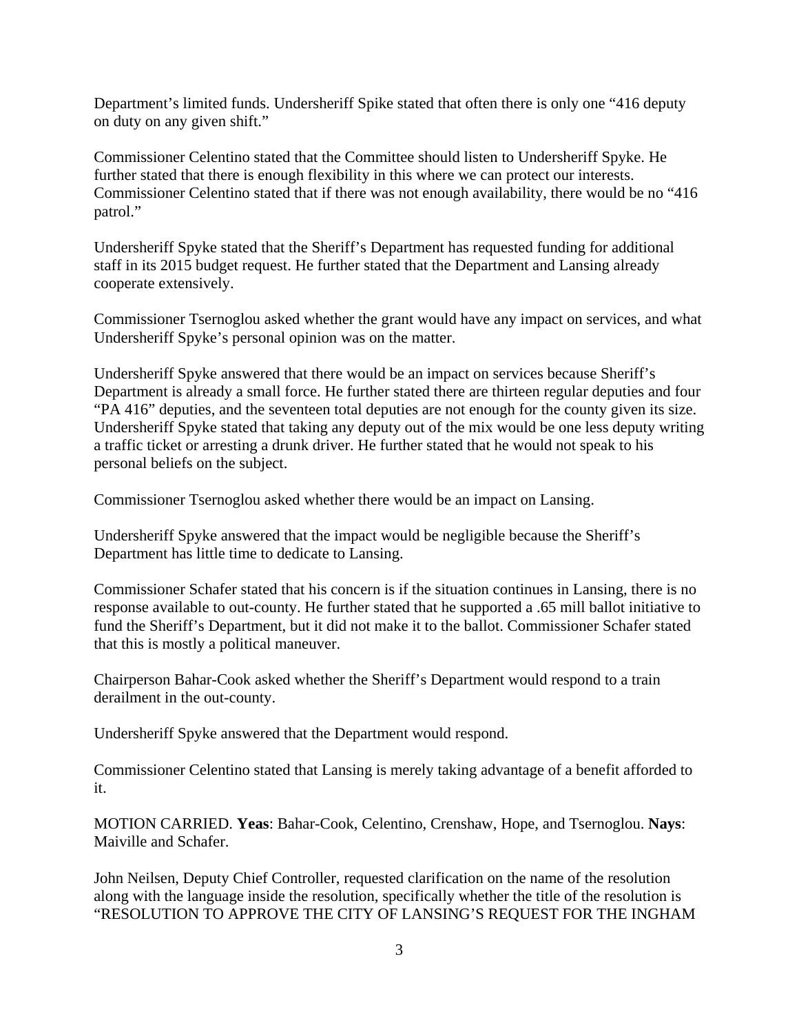Department's limited funds. Undersheriff Spike stated that often there is only one "416 deputy on duty on any given shift."

Commissioner Celentino stated that the Committee should listen to Undersheriff Spyke. He further stated that there is enough flexibility in this where we can protect our interests. Commissioner Celentino stated that if there was not enough availability, there would be no "416 patrol."

Undersheriff Spyke stated that the Sheriff's Department has requested funding for additional staff in its 2015 budget request. He further stated that the Department and Lansing already cooperate extensively.

Commissioner Tsernoglou asked whether the grant would have any impact on services, and what Undersheriff Spyke's personal opinion was on the matter.

Undersheriff Spyke answered that there would be an impact on services because Sheriff's Department is already a small force. He further stated there are thirteen regular deputies and four "PA 416" deputies, and the seventeen total deputies are not enough for the county given its size. Undersheriff Spyke stated that taking any deputy out of the mix would be one less deputy writing a traffic ticket or arresting a drunk driver. He further stated that he would not speak to his personal beliefs on the subject.

Commissioner Tsernoglou asked whether there would be an impact on Lansing.

Undersheriff Spyke answered that the impact would be negligible because the Sheriff's Department has little time to dedicate to Lansing.

Commissioner Schafer stated that his concern is if the situation continues in Lansing, there is no response available to out-county. He further stated that he supported a .65 mill ballot initiative to fund the Sheriff's Department, but it did not make it to the ballot. Commissioner Schafer stated that this is mostly a political maneuver.

Chairperson Bahar-Cook asked whether the Sheriff's Department would respond to a train derailment in the out-county.

Undersheriff Spyke answered that the Department would respond.

Commissioner Celentino stated that Lansing is merely taking advantage of a benefit afforded to it.

MOTION CARRIED. **Yeas**: Bahar-Cook, Celentino, Crenshaw, Hope, and Tsernoglou. **Nays**: Maiville and Schafer.

John Neilsen, Deputy Chief Controller, requested clarification on the name of the resolution along with the language inside the resolution, specifically whether the title of the resolution is "RESOLUTION TO APPROVE THE CITY OF LANSING'S REQUEST FOR THE INGHAM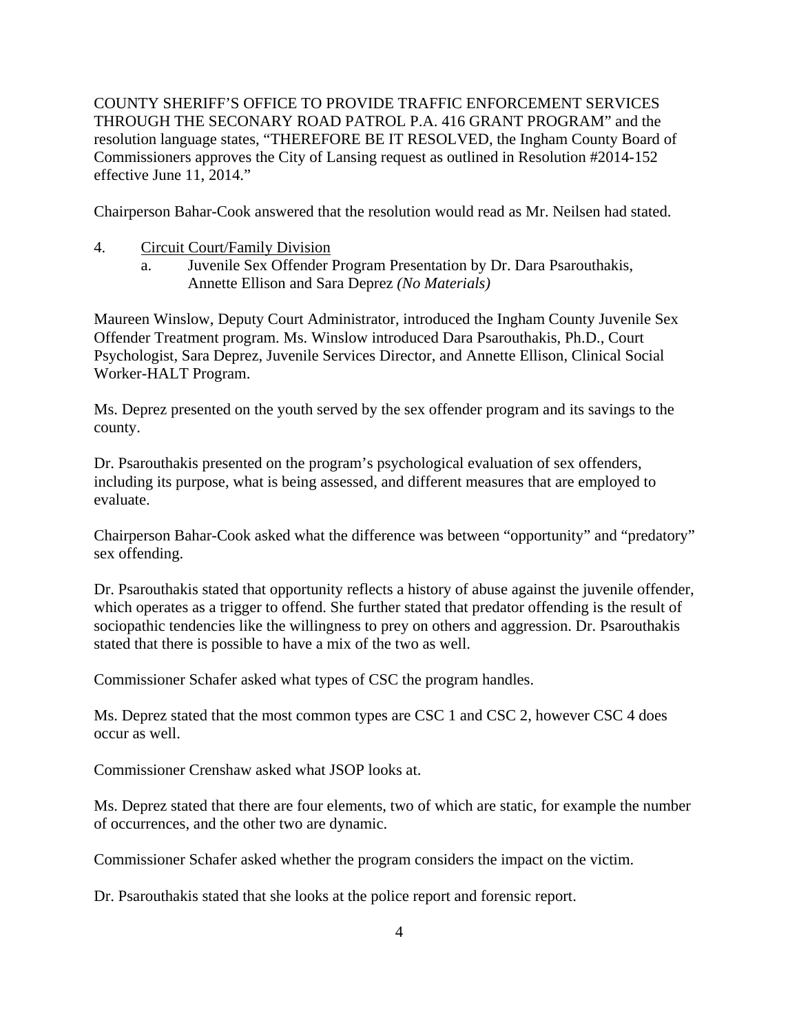COUNTY SHERIFF'S OFFICE TO PROVIDE TRAFFIC ENFORCEMENT SERVICES THROUGH THE SECONARY ROAD PATROL P.A. 416 GRANT PROGRAM" and the resolution language states, "THEREFORE BE IT RESOLVED, the Ingham County Board of Commissioners approves the City of Lansing request as outlined in Resolution #2014-152 effective June 11, 2014."

Chairperson Bahar-Cook answered that the resolution would read as Mr. Neilsen had stated.

- 4. Circuit Court/Family Division
	- a. Juvenile Sex Offender Program Presentation by Dr. Dara Psarouthakis, Annette Ellison and Sara Deprez *(No Materials)*

Maureen Winslow, Deputy Court Administrator, introduced the Ingham County Juvenile Sex Offender Treatment program. Ms. Winslow introduced Dara Psarouthakis, Ph.D., Court Psychologist, Sara Deprez, Juvenile Services Director, and Annette Ellison, Clinical Social Worker-HALT Program.

Ms. Deprez presented on the youth served by the sex offender program and its savings to the county.

Dr. Psarouthakis presented on the program's psychological evaluation of sex offenders, including its purpose, what is being assessed, and different measures that are employed to evaluate.

Chairperson Bahar-Cook asked what the difference was between "opportunity" and "predatory" sex offending.

Dr. Psarouthakis stated that opportunity reflects a history of abuse against the juvenile offender, which operates as a trigger to offend. She further stated that predator offending is the result of sociopathic tendencies like the willingness to prey on others and aggression. Dr. Psarouthakis stated that there is possible to have a mix of the two as well.

Commissioner Schafer asked what types of CSC the program handles.

Ms. Deprez stated that the most common types are CSC 1 and CSC 2, however CSC 4 does occur as well.

Commissioner Crenshaw asked what JSOP looks at.

Ms. Deprez stated that there are four elements, two of which are static, for example the number of occurrences, and the other two are dynamic.

Commissioner Schafer asked whether the program considers the impact on the victim.

Dr. Psarouthakis stated that she looks at the police report and forensic report.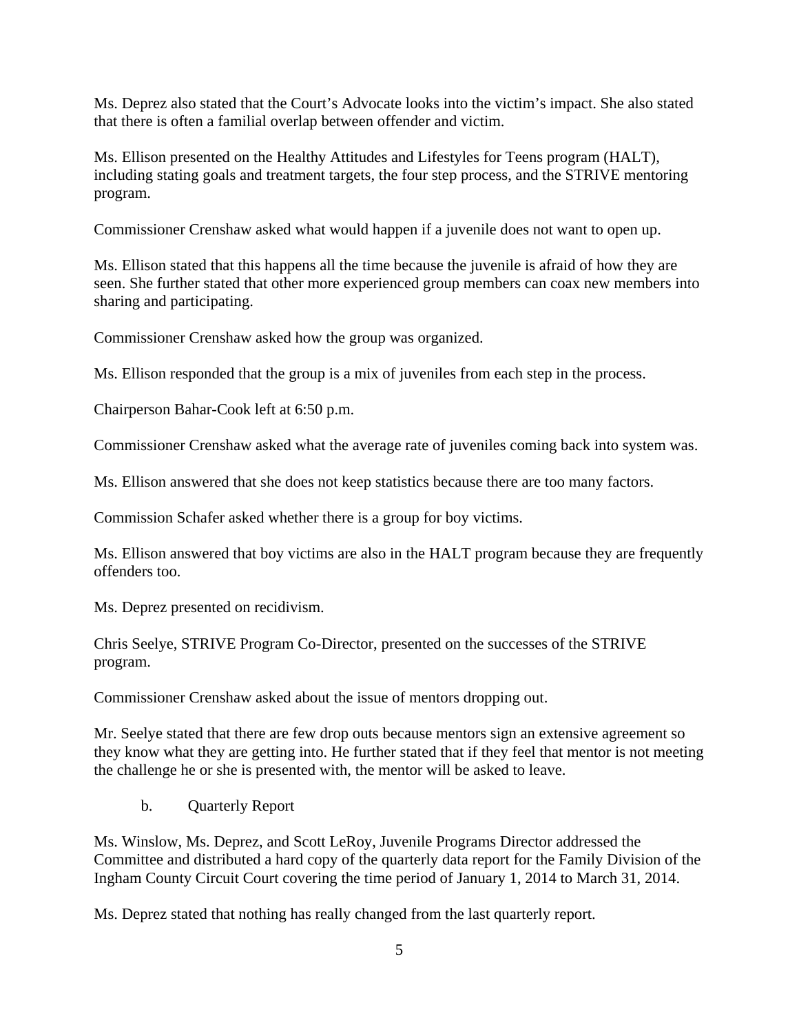Ms. Deprez also stated that the Court's Advocate looks into the victim's impact. She also stated that there is often a familial overlap between offender and victim.

Ms. Ellison presented on the Healthy Attitudes and Lifestyles for Teens program (HALT), including stating goals and treatment targets, the four step process, and the STRIVE mentoring program.

Commissioner Crenshaw asked what would happen if a juvenile does not want to open up.

Ms. Ellison stated that this happens all the time because the juvenile is afraid of how they are seen. She further stated that other more experienced group members can coax new members into sharing and participating.

Commissioner Crenshaw asked how the group was organized.

Ms. Ellison responded that the group is a mix of juveniles from each step in the process.

Chairperson Bahar-Cook left at 6:50 p.m.

Commissioner Crenshaw asked what the average rate of juveniles coming back into system was.

Ms. Ellison answered that she does not keep statistics because there are too many factors.

Commission Schafer asked whether there is a group for boy victims.

Ms. Ellison answered that boy victims are also in the HALT program because they are frequently offenders too.

Ms. Deprez presented on recidivism.

Chris Seelye, STRIVE Program Co-Director, presented on the successes of the STRIVE program.

Commissioner Crenshaw asked about the issue of mentors dropping out.

Mr. Seelye stated that there are few drop outs because mentors sign an extensive agreement so they know what they are getting into. He further stated that if they feel that mentor is not meeting the challenge he or she is presented with, the mentor will be asked to leave.

b. Quarterly Report

Ms. Winslow, Ms. Deprez, and Scott LeRoy, Juvenile Programs Director addressed the Committee and distributed a hard copy of the quarterly data report for the Family Division of the Ingham County Circuit Court covering the time period of January 1, 2014 to March 31, 2014.

Ms. Deprez stated that nothing has really changed from the last quarterly report.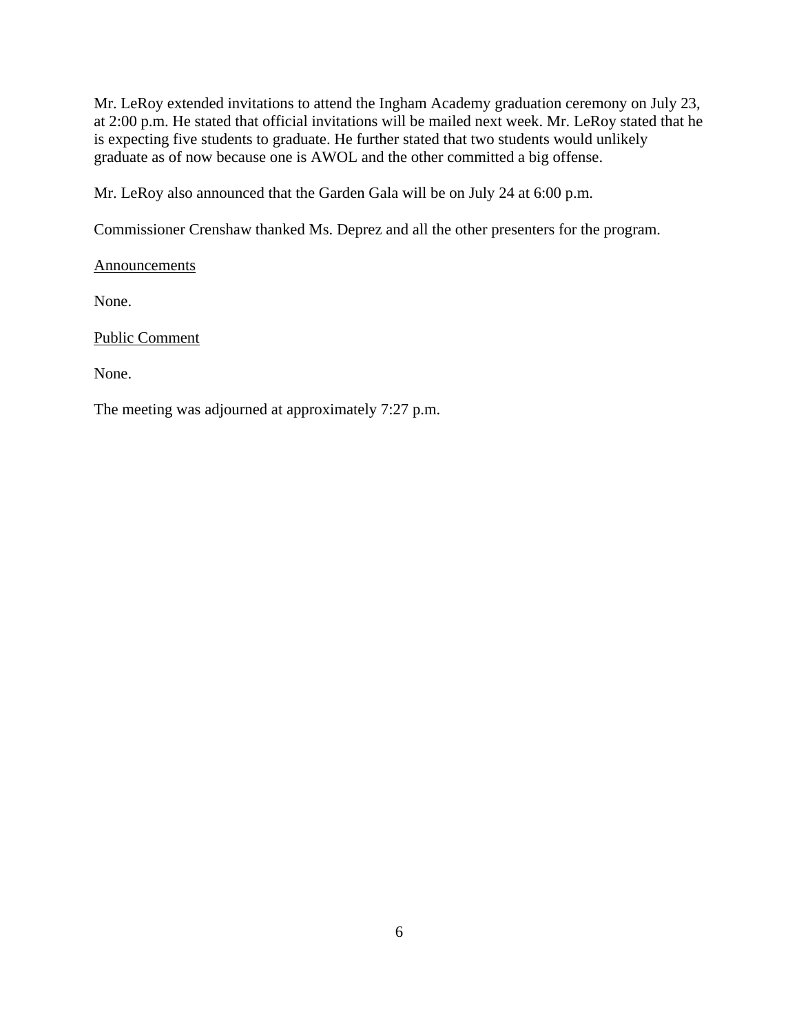Mr. LeRoy extended invitations to attend the Ingham Academy graduation ceremony on July 23, at 2:00 p.m. He stated that official invitations will be mailed next week. Mr. LeRoy stated that he is expecting five students to graduate. He further stated that two students would unlikely graduate as of now because one is AWOL and the other committed a big offense.

Mr. LeRoy also announced that the Garden Gala will be on July 24 at 6:00 p.m.

Commissioner Crenshaw thanked Ms. Deprez and all the other presenters for the program.

Announcements

None.

Public Comment

None.

The meeting was adjourned at approximately 7:27 p.m.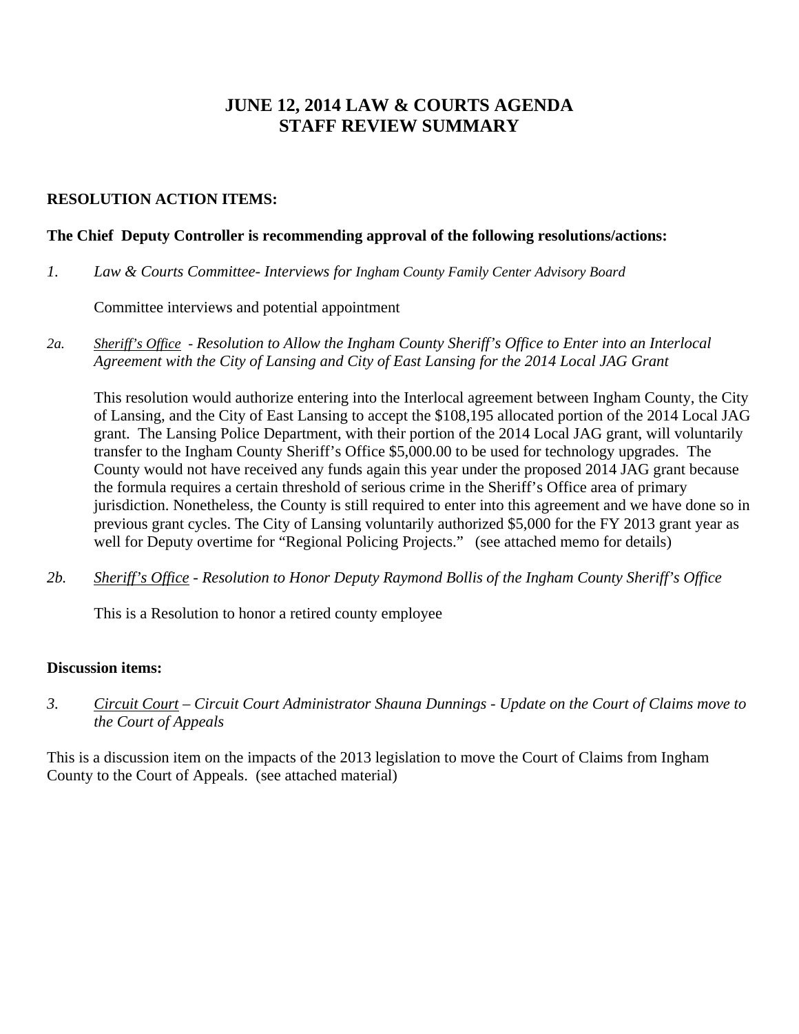# **JUNE 12, 2014 LAW & COURTS AGENDA STAFF REVIEW SUMMARY**

#### **RESOLUTION ACTION ITEMS:**

#### **The Chief Deputy Controller is recommending approval of the following resolutions/actions:**

*1. Law & Courts Committee- Interviews for Ingham County Family Center Advisory Board*

Committee interviews and potential appointment

*2a. Sheriff's Office - Resolution to Allow the Ingham County Sheriff's Office to Enter into an Interlocal Agreement with the City of Lansing and City of East Lansing for the 2014 Local JAG Grant* 

This resolution would authorize entering into the Interlocal agreement between Ingham County, the City of Lansing, and the City of East Lansing to accept the \$108,195 allocated portion of the 2014 Local JAG grant. The Lansing Police Department, with their portion of the 2014 Local JAG grant, will voluntarily transfer to the Ingham County Sheriff's Office \$5,000.00 to be used for technology upgrades. The County would not have received any funds again this year under the proposed 2014 JAG grant because the formula requires a certain threshold of serious crime in the Sheriff's Office area of primary jurisdiction. Nonetheless, the County is still required to enter into this agreement and we have done so in previous grant cycles. The City of Lansing voluntarily authorized \$5,000 for the FY 2013 grant year as well for Deputy overtime for "Regional Policing Projects." (see attached memo for details)

*2b. Sheriff's Office - Resolution to Honor Deputy Raymond Bollis of the Ingham County Sheriff's Office* 

This is a Resolution to honor a retired county employee

#### **Discussion items:**

*3. Circuit Court – Circuit Court Administrator Shauna Dunnings - Update on the Court of Claims move to the Court of Appeals* 

This is a discussion item on the impacts of the 2013 legislation to move the Court of Claims from Ingham County to the Court of Appeals. (see attached material)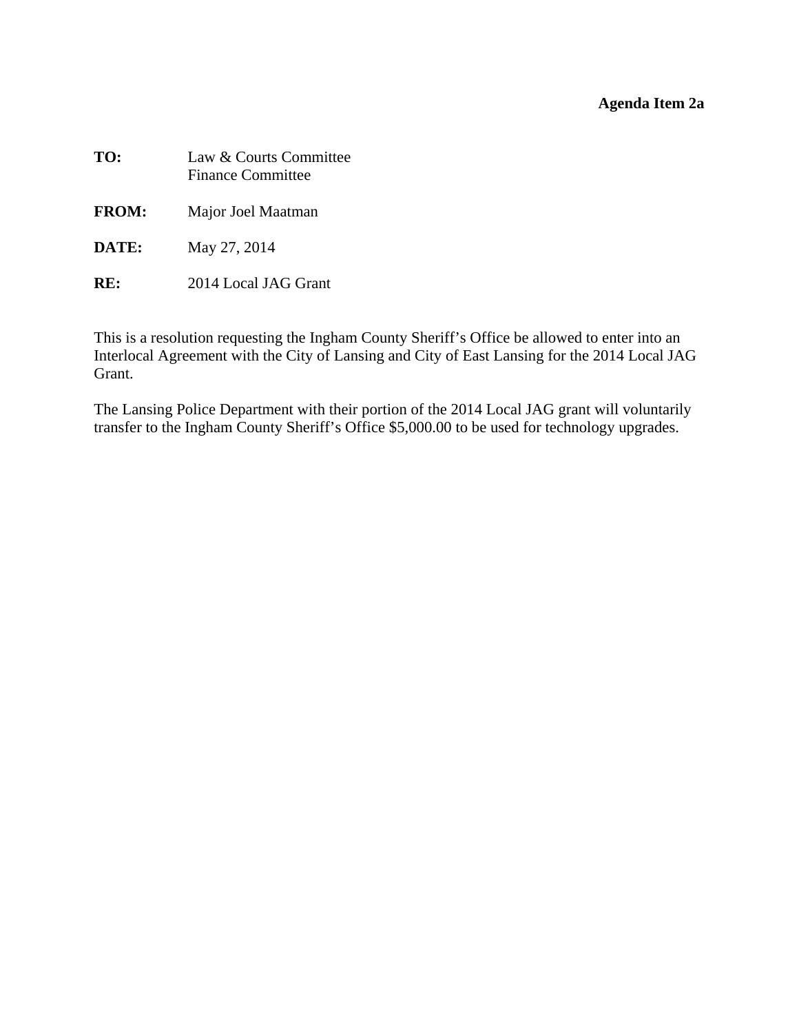## **Agenda Item 2a**

<span id="page-8-0"></span>

| TO:             | Law & Courts Committee<br><b>Finance Committee</b> |
|-----------------|----------------------------------------------------|
| <b>FROM:</b>    | Major Joel Maatman                                 |
| DATE:           | May 27, 2014                                       |
| $\mathbf{RF}$ : | 2014 Local JAG Grant                               |

This is a resolution requesting the Ingham County Sheriff's Office be allowed to enter into an Interlocal Agreement with the City of Lansing and City of East Lansing for the 2014 Local JAG Grant.

The Lansing Police Department with their portion of the 2014 Local JAG grant will voluntarily transfer to the Ingham County Sheriff's Office \$5,000.00 to be used for technology upgrades.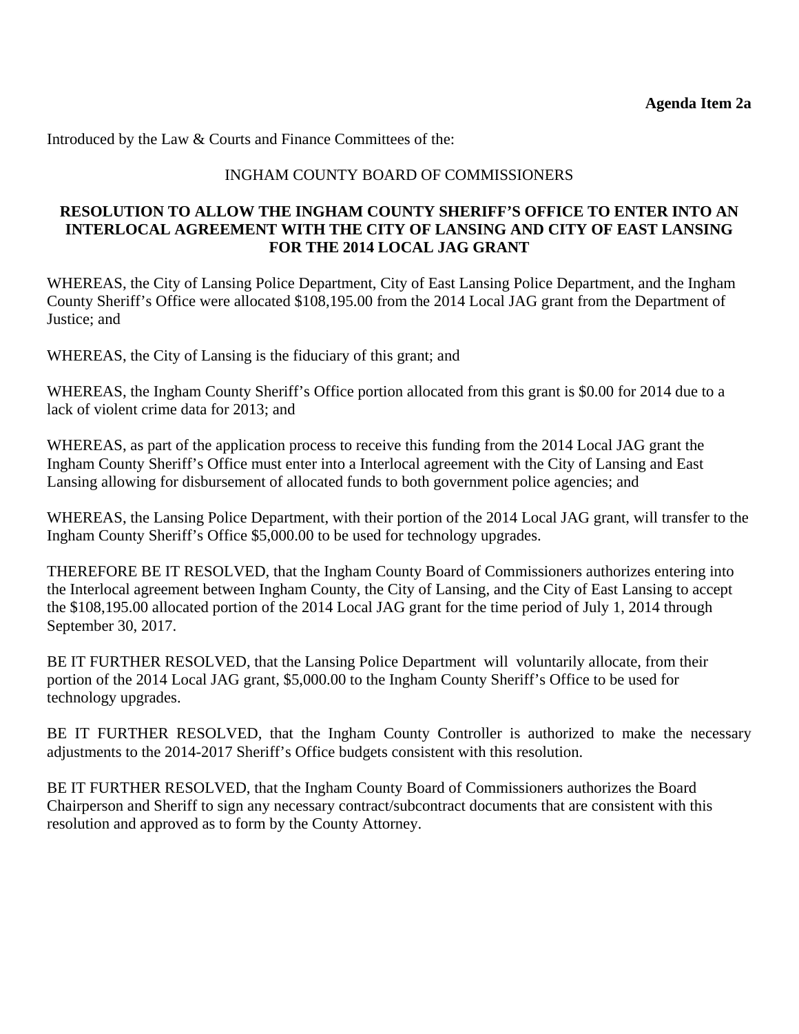Introduced by the Law & Courts and Finance Committees of the:

#### INGHAM COUNTY BOARD OF COMMISSIONERS

#### **RESOLUTION TO ALLOW THE INGHAM COUNTY SHERIFF'S OFFICE TO ENTER INTO AN INTERLOCAL AGREEMENT WITH THE CITY OF LANSING AND CITY OF EAST LANSING FOR THE 2014 LOCAL JAG GRANT**

WHEREAS, the City of Lansing Police Department, City of East Lansing Police Department, and the Ingham County Sheriff's Office were allocated \$108,195.00 from the 2014 Local JAG grant from the Department of Justice; and

WHEREAS, the City of Lansing is the fiduciary of this grant; and

WHEREAS, the Ingham County Sheriff's Office portion allocated from this grant is \$0.00 for 2014 due to a lack of violent crime data for 2013; and

WHEREAS, as part of the application process to receive this funding from the 2014 Local JAG grant the Ingham County Sheriff's Office must enter into a Interlocal agreement with the City of Lansing and East Lansing allowing for disbursement of allocated funds to both government police agencies; and

WHEREAS, the Lansing Police Department, with their portion of the 2014 Local JAG grant, will transfer to the Ingham County Sheriff's Office \$5,000.00 to be used for technology upgrades.

THEREFORE BE IT RESOLVED, that the Ingham County Board of Commissioners authorizes entering into the Interlocal agreement between Ingham County, the City of Lansing, and the City of East Lansing to accept the \$108,195.00 allocated portion of the 2014 Local JAG grant for the time period of July 1, 2014 through September 30, 2017.

BE IT FURTHER RESOLVED, that the Lansing Police Department will voluntarily allocate, from their portion of the 2014 Local JAG grant, \$5,000.00 to the Ingham County Sheriff's Office to be used for technology upgrades.

BE IT FURTHER RESOLVED, that the Ingham County Controller is authorized to make the necessary adjustments to the 2014-2017 Sheriff's Office budgets consistent with this resolution.

BE IT FURTHER RESOLVED, that the Ingham County Board of Commissioners authorizes the Board Chairperson and Sheriff to sign any necessary contract/subcontract documents that are consistent with this resolution and approved as to form by the County Attorney.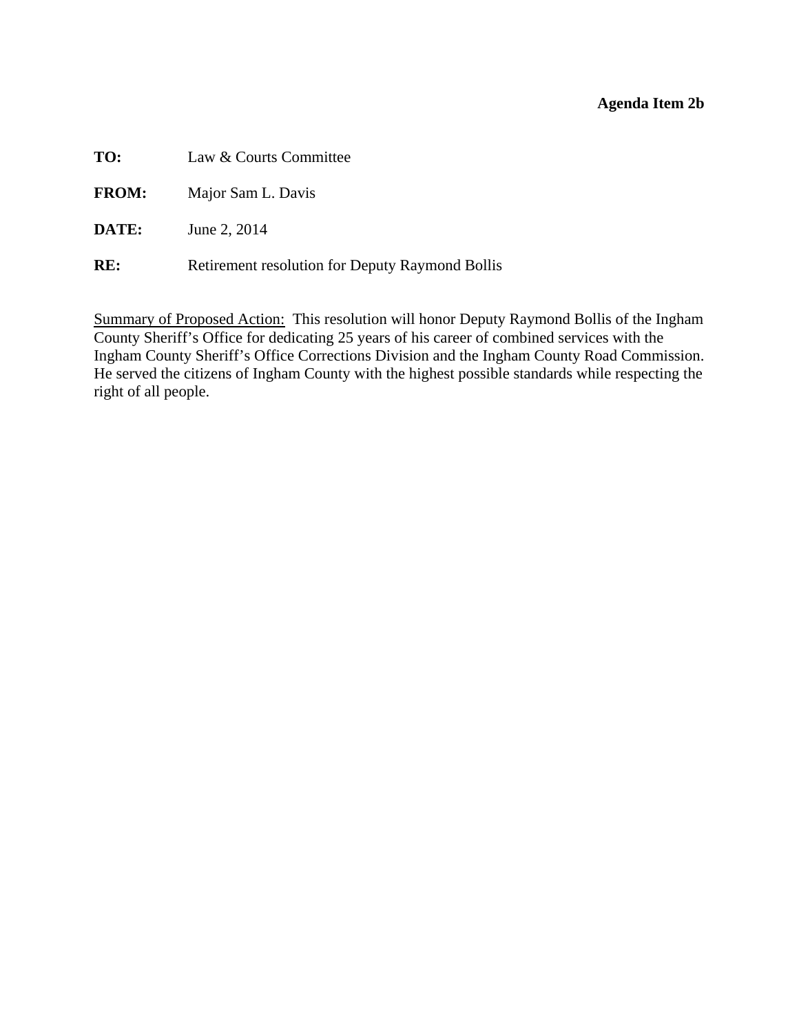#### **Agenda Item 2b**

<span id="page-10-0"></span>**TO:** Law & Courts Committee

**FROM:** Major Sam L. Davis

**DATE:** June 2, 2014

**RE:** Retirement resolution for Deputy Raymond Bollis

Summary of Proposed Action: This resolution will honor Deputy Raymond Bollis of the Ingham County Sheriff's Office for dedicating 25 years of his career of combined services with the Ingham County Sheriff's Office Corrections Division and the Ingham County Road Commission. He served the citizens of Ingham County with the highest possible standards while respecting the right of all people.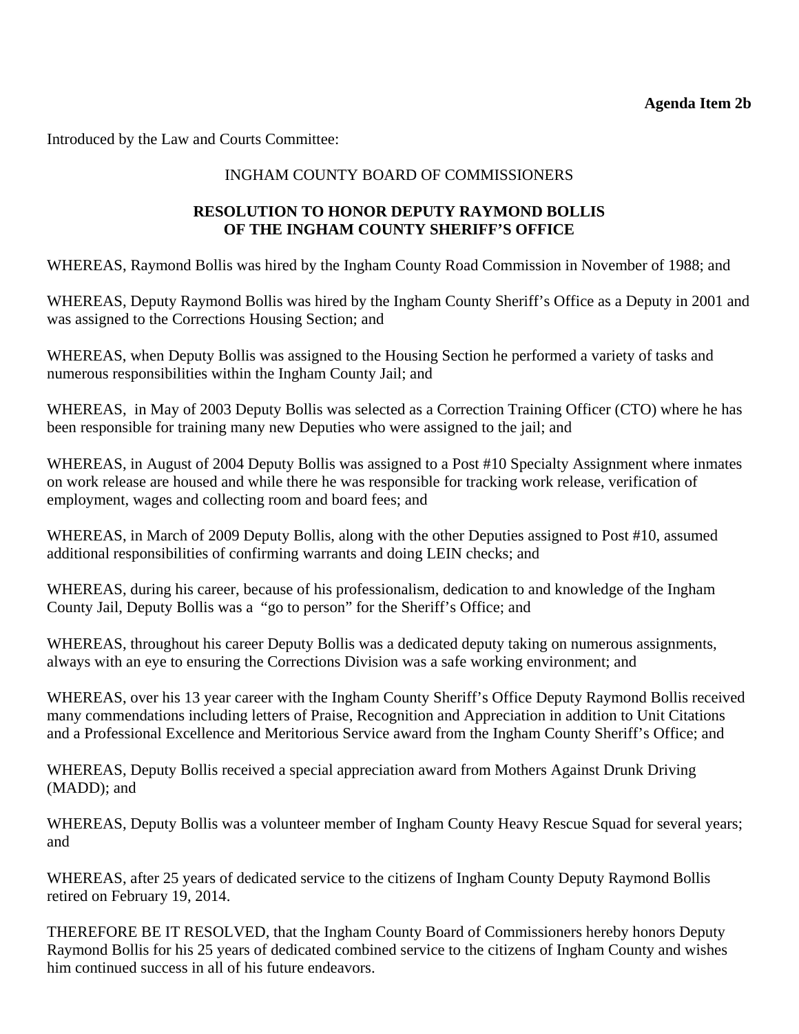Introduced by the Law and Courts Committee:

## INGHAM COUNTY BOARD OF COMMISSIONERS

## **RESOLUTION TO HONOR DEPUTY RAYMOND BOLLIS OF THE INGHAM COUNTY SHERIFF'S OFFICE**

WHEREAS, Raymond Bollis was hired by the Ingham County Road Commission in November of 1988; and

WHEREAS, Deputy Raymond Bollis was hired by the Ingham County Sheriff's Office as a Deputy in 2001 and was assigned to the Corrections Housing Section; and

WHEREAS, when Deputy Bollis was assigned to the Housing Section he performed a variety of tasks and numerous responsibilities within the Ingham County Jail; and

WHEREAS, in May of 2003 Deputy Bollis was selected as a Correction Training Officer (CTO) where he has been responsible for training many new Deputies who were assigned to the jail; and

WHEREAS, in August of 2004 Deputy Bollis was assigned to a Post #10 Specialty Assignment where inmates on work release are housed and while there he was responsible for tracking work release, verification of employment, wages and collecting room and board fees; and

WHEREAS, in March of 2009 Deputy Bollis, along with the other Deputies assigned to Post #10, assumed additional responsibilities of confirming warrants and doing LEIN checks; and

WHEREAS, during his career, because of his professionalism, dedication to and knowledge of the Ingham County Jail, Deputy Bollis was a "go to person" for the Sheriff's Office; and

WHEREAS, throughout his career Deputy Bollis was a dedicated deputy taking on numerous assignments, always with an eye to ensuring the Corrections Division was a safe working environment; and

WHEREAS, over his 13 year career with the Ingham County Sheriff's Office Deputy Raymond Bollis received many commendations including letters of Praise, Recognition and Appreciation in addition to Unit Citations and a Professional Excellence and Meritorious Service award from the Ingham County Sheriff's Office; and

WHEREAS, Deputy Bollis received a special appreciation award from Mothers Against Drunk Driving (MADD); and

WHEREAS, Deputy Bollis was a volunteer member of Ingham County Heavy Rescue Squad for several years; and

WHEREAS, after 25 years of dedicated service to the citizens of Ingham County Deputy Raymond Bollis retired on February 19, 2014.

THEREFORE BE IT RESOLVED, that the Ingham County Board of Commissioners hereby honors Deputy Raymond Bollis for his 25 years of dedicated combined service to the citizens of Ingham County and wishes him continued success in all of his future endeavors.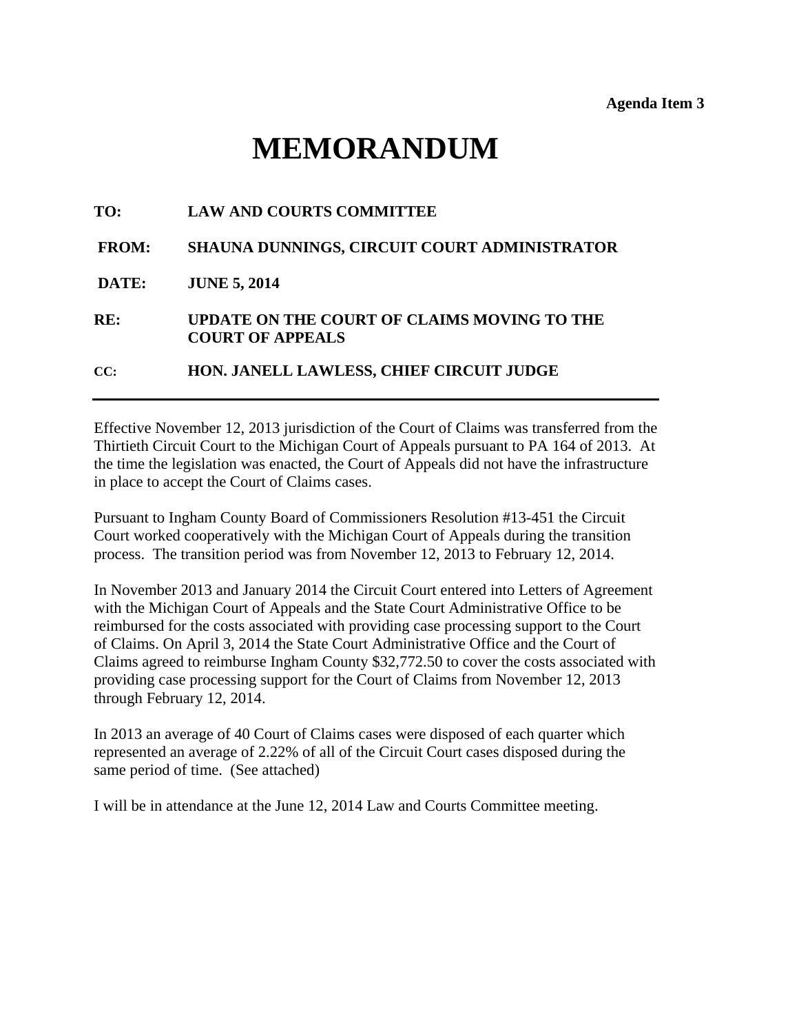# **MEMORANDUM**

<span id="page-12-0"></span>

| TO:          | <b>LAW AND COURTS COMMITTEE</b>                                        |
|--------------|------------------------------------------------------------------------|
| <b>FROM:</b> | SHAUNA DUNNINGS, CIRCUIT COURT ADMINISTRATOR                           |
| DATE:        | <b>JUNE 5, 2014</b>                                                    |
| RE:          | UPDATE ON THE COURT OF CLAIMS MOVING TO THE<br><b>COURT OF APPEALS</b> |
| CC:          | HON. JANELL LAWLESS, CHIEF CIRCUIT JUDGE                               |

Effective November 12, 2013 jurisdiction of the Court of Claims was transferred from the Thirtieth Circuit Court to the Michigan Court of Appeals pursuant to PA 164 of 2013. At the time the legislation was enacted, the Court of Appeals did not have the infrastructure in place to accept the Court of Claims cases.

Pursuant to Ingham County Board of Commissioners Resolution #13-451 the Circuit Court worked cooperatively with the Michigan Court of Appeals during the transition process. The transition period was from November 12, 2013 to February 12, 2014.

In November 2013 and January 2014 the Circuit Court entered into Letters of Agreement with the Michigan Court of Appeals and the State Court Administrative Office to be reimbursed for the costs associated with providing case processing support to the Court of Claims. On April 3, 2014 the State Court Administrative Office and the Court of Claims agreed to reimburse Ingham County \$32,772.50 to cover the costs associated with providing case processing support for the Court of Claims from November 12, 2013 through February 12, 2014.

In 2013 an average of 40 Court of Claims cases were disposed of each quarter which represented an average of 2.22% of all of the Circuit Court cases disposed during the same period of time. (See attached)

I will be in attendance at the June 12, 2014 Law and Courts Committee meeting.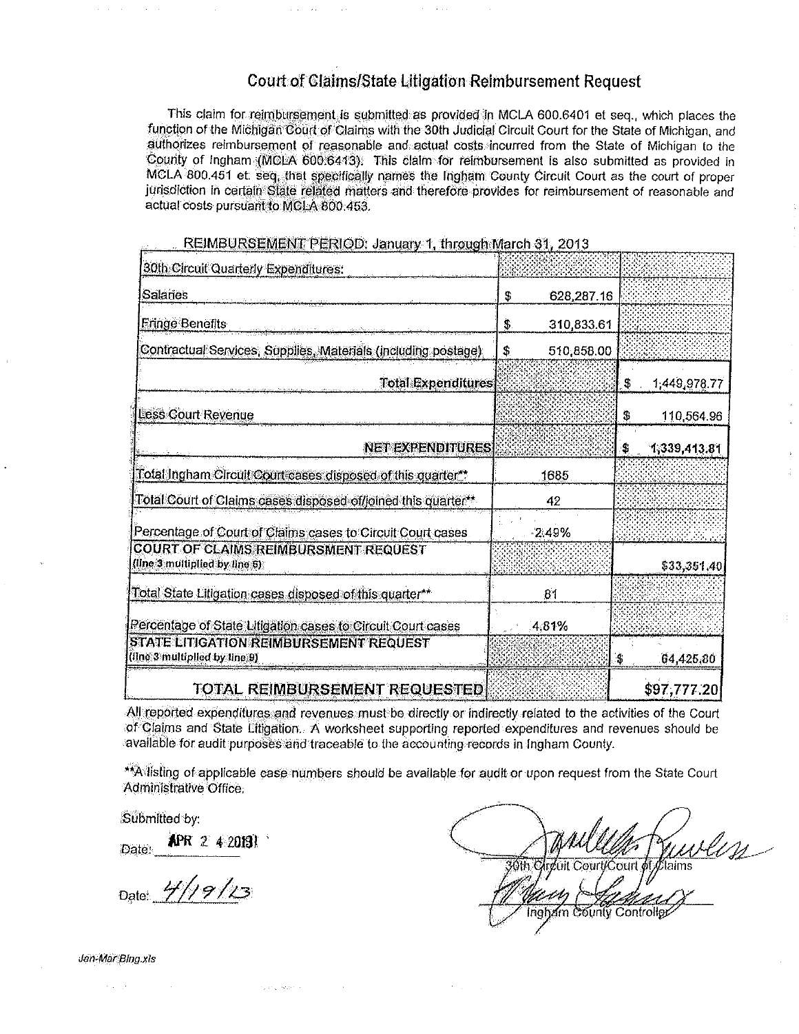## **Court of Claims/State Litigation Reimbursement Request**

This claim for reimbursement is submitted as provided in MCLA 600.6401 et seq., which places the function of the Michigan Court of Claims with the 30th Judicial Circuit Court for the State of Michigan, and authorizes reimbursement of reasonable and actual costs incurred from the State of Michigan to the County of Ingham (MCLA 600.6413). This olaim for reimbursement is also submitted as provided in MCLA 800.451 et. seq. that specifically names the Ingham County Circuit Court as the court of proper jurisdiction in certain State related matters and therefore provides for reimbursement of reasonable and actual costs pursuant to MCLA 800.453.

| 30th Circuit Quarterly Expenditures:                                         |                   |                    |
|------------------------------------------------------------------------------|-------------------|--------------------|
| <b>Salaries</b>                                                              | \$<br>628,287.16  |                    |
| <b>Fringe Benefits</b>                                                       | \$.<br>310,833.61 |                    |
| Contractual Services, Supplies, Materials (including postage)                | \$<br>510,858.00  |                    |
| <b>Total Expenditures</b>                                                    |                   | 1,449,978.77<br>\$ |
| Less Court Revenue                                                           |                   | 110,564.96<br>\$   |
| <b>NET EXPENDITURES</b>                                                      |                   | \$<br>1,339,413.81 |
| Total Ingham Circuit Court cases disposed of this quarter**                  | 1685              |                    |
| Total Court of Claims cases disposed of/joined this quarter**                | 42                |                    |
| Percentage of Court of Claims cases to Circuit Court cases.                  | $-2.49%$          |                    |
| <b>COURT OF CLAIMS REIMBURSMENT REQUEST</b><br>(line 3 multiplied by line 6) |                   | \$33,351,40        |
| Total State Litigation cases disposed of this quarter**                      | 81                |                    |
| Percentage of State Litigation cases to Circuit Court cases                  | 4.81%             |                    |
| STATE LITIGATION REIMBURSEMENT REQUEST<br>(line 3 multiplied by line 9)      |                   | S<br>64,425,80     |
| TOTAL REIMBURSEMENT REQUESTED                                                |                   | \$97,777.20        |

REIMBURSEMENT PERIOD: January 1. through March 31, 2013

All reported expenditures and revenues must be directly or indirectly related to the activities of the Court of Claims and State Litigation. A worksheet supporting reported expenditures and revenues should be available for audit purposes and traceable to the accounting records in Ingham County.

\*\*A listing of applicable case numbers should be available for audit or upon request from the State Court Administrative Office:

Submitted by:

APR 2 4 20131 Date:

Date: 4/19/23

 $\sim$   $\sim$ 

i<br>Politiko esperant

 $\sim$   $\alpha$ 

30th Circuit Court/Court of Claims Ingham County Controller

Jan-Mar Bing.xls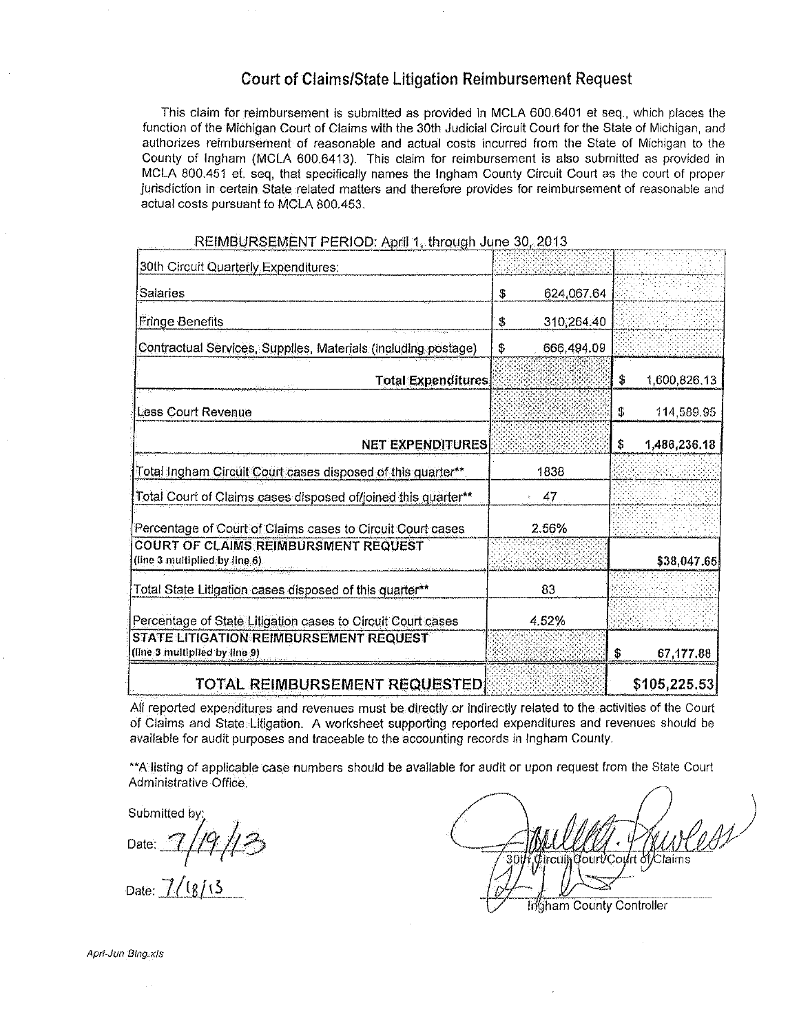## **Court of Claims/State Litigation Reimbursement Request**

This claim for reimbursement is submitted as provided in MCLA 600.6401 et seq., which places the function of the Michigan Court of Claims with the 30th Judicial Circuit Court for the State of Michigan, and authorizes reimbursement of reasonable and actual costs incurred from the State of Michigan to the County of Ingham (MCLA 600.6413). This claim for reimbursement is also submitted as provided in MCLA 800.451 et. seq, that specifically names the Ingham County Circuit Court as the court of proper jurisdiction in certain State related matters and therefore provides for reimbursement of reasonable and actual costs pursuant to MCLA 800.453.

| 30th Circuit Quarterly Expenditures:                                    |                  |                    |
|-------------------------------------------------------------------------|------------------|--------------------|
| Salaries                                                                | \$<br>624,067.64 |                    |
| Fringe Benefits                                                         | 310,264.40<br>\$ |                    |
| Contractual Services, Supplies, Materials (including postage)           | \$<br>666,494.09 |                    |
| <b>Total Expenditures</b>                                               |                  | \$<br>1,600,826.13 |
| <b>Less Court Revenue</b>                                               |                  | 114,589.95<br>\$   |
| <b>NET EXPENDITURES</b>                                                 |                  | \$<br>1,486,236.18 |
| Total Ingham Circuit Court cases disposed of this quarter**             | 1838             |                    |
| Total Court of Claims cases disposed of/joined this quarter**           | $\pm 47$         |                    |
| Percentage of Court of Claims cases to Circuit Court cases              | 2.56%            |                    |
| COURT OF CLAIMS REIMBURSMENT REQUEST<br>(line 3 multiplied by line 6).  |                  | \$38,047.65        |
| Total State Litigation cases disposed of this quarter**                 | 83               |                    |
| Percentage of State Litigation cases to Circuit Court cases             | 4.52%            |                    |
| STATE LITIGATION REIMBURSEMENT REQUEST<br>(line 3 multiplied by line 9) |                  | 67,177.88<br>\$    |
| TOTAL REIMBURSEMENT REQUESTED                                           |                  | \$105, 225.53      |

REIMBURSEMENT PERIOD: April 1, through June 30, 2013

All reported expenditures and revenues must be directly or indirectly related to the activities of the Court of Claims and State Litigation. A worksheet supporting reported expenditures and revenues should be available for audit purposes and traceable to the accounting records in Ingham County.

\*\*A listing of applicable case numbers should be available for audit or upon request from the State Court Administrative Office.

Submitted by

Date:

Date:  $\frac{7}{181}$ 

lourt/Court of Claims Ingham County Controller

Apri-Jun Bina.xis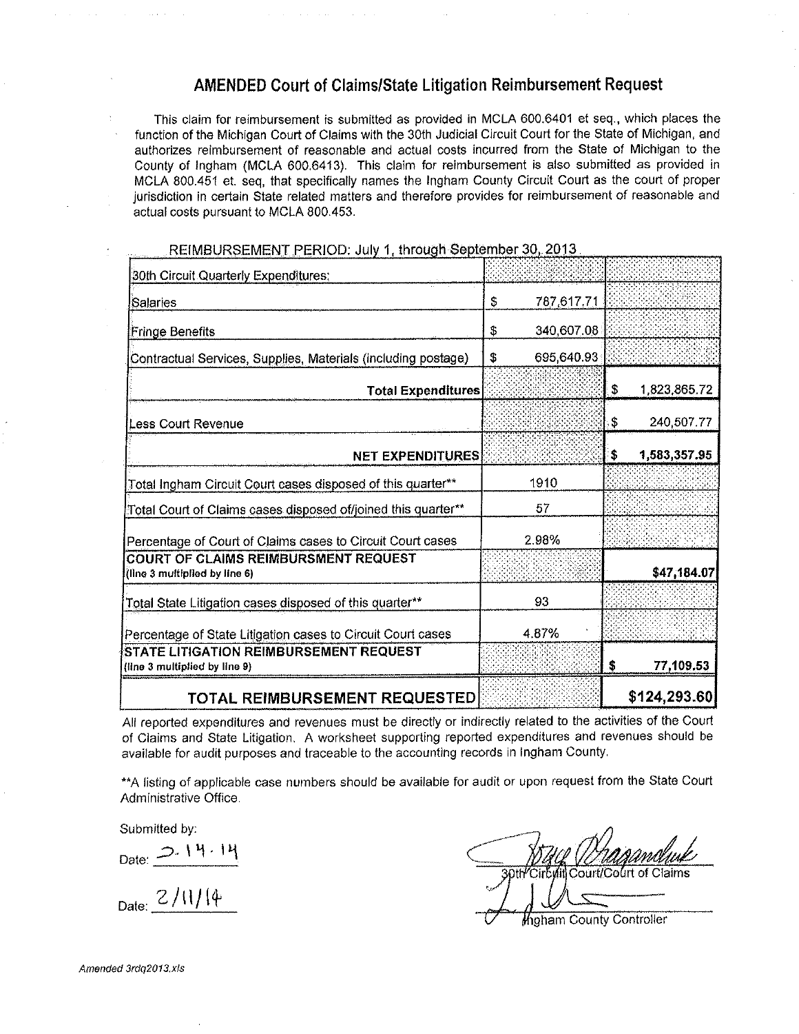## **AMENDED Court of Claims/State Litigation Reimbursement Request**

This claim for reimbursement is submitted as provided in MCLA 600.6401 et seq., which places the function of the Michigan Court of Claims with the 30th Judicial Circuit Court for the State of Michigan, and authorizes reimbursement of reasonable and actual costs incurred from the State of Michigan to the County of Ingham (MCLA 600.6413). This claim for reimbursement is also submitted as provided in MCLA 800.451 et. seq, that specifically names the Ingham County Circuit Court as the court of proper jurisdiction in certain State related matters and therefore provides for reimbursement of reasonable and actual costs pursuant to MCLA 800.453.

| 30th Circuit Quarterly Expenditures:                                           |                  |                    |
|--------------------------------------------------------------------------------|------------------|--------------------|
| Salaries                                                                       | \$<br>787,617.71 |                    |
| <b>Fringe Benefits</b>                                                         | \$<br>340,607.08 |                    |
| Contractual Services, Supplies, Materials (including postage)                  | 695,640.93<br>\$ |                    |
| <b>Total Expenditures</b>                                                      |                  | \$<br>1,823,865.72 |
| Less Court Revenue                                                             |                  | 240,507.77<br>\$   |
| <b>NET EXPENDITURES</b>                                                        |                  | \$<br>1,583,357.95 |
| Total Ingham Circuit Court cases disposed of this quarter**                    | 1910             |                    |
| Total Court of Claims cases disposed of/joined this quarter**                  | 57               |                    |
| Percentage of Court of Claims cases to Circuit Court cases                     | 2.98%            |                    |
| <b>COURT OF CLAIMS REIMBURSMENT REQUEST</b><br>(line 3 multiplied by line 6)   |                  | \$47,184.07        |
| Total State Litigation cases disposed of this quarter**                        | 93               |                    |
| Percentage of State Litigation cases to Circuit Court cases                    | 4.87%            |                    |
| <b>STATE LITIGATION REIMBURSEMENT REQUEST</b><br>(line 3 multiplied by line 9) |                  | 77,109.53<br>S     |
| TOTAL REIMRURSEMENT REQUESTEDI                                                 |                  | \$124,293.60       |

REIMBURSEMENT PERIOD: July 1, through September 30, 2013

All reported expenditures and revenues must be directly or indirectly related to the activities of the Court of Claims and State Litigation. A worksheet supporting reported expenditures and revenues should be available for audit purposes and traceable to the accounting records in Ingham County.

\*\* A listing of applicable case numbers should be available for audit or upon request from the State Court Administrative Office.

Submitted by:

 $Date: 2.14.14$ 

 $_{\text{Date:}}$  2/11/14

Migham County Controller